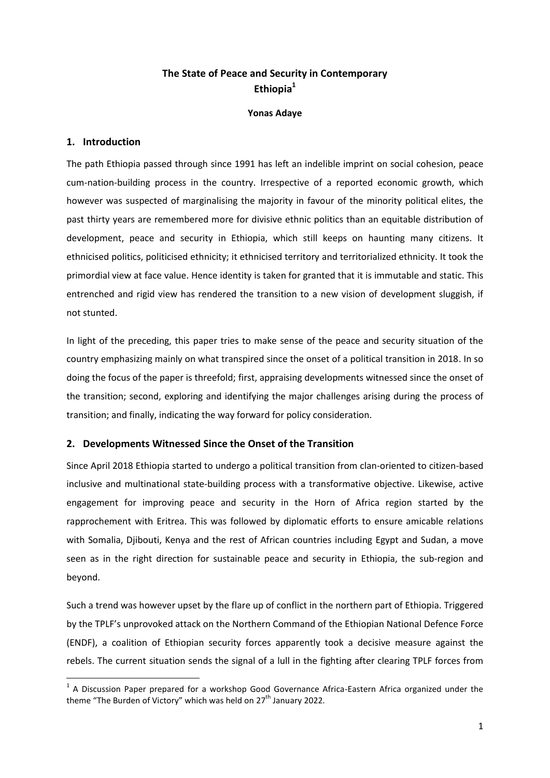# **The State of Peace and Security in Contemporary Ethiopia<sup>1</sup>**

**Yonas Adaye**

## **1. Introduction**

**.** 

The path Ethiopia passed through since 1991 has left an indelible imprint on social cohesion, peace cum-nation-building process in the country. Irrespective of a reported economic growth, which however was suspected of marginalising the majority in favour of the minority political elites, the past thirty years are remembered more for divisive ethnic politics than an equitable distribution of development, peace and security in Ethiopia, which still keeps on haunting many citizens. It ethnicised politics, politicised ethnicity; it ethnicised territory and territorialized ethnicity. It took the primordial view at face value. Hence identity is taken for granted that it is immutable and static. This entrenched and rigid view has rendered the transition to a new vision of development sluggish, if not stunted.

In light of the preceding, this paper tries to make sense of the peace and security situation of the country emphasizing mainly on what transpired since the onset of a political transition in 2018. In so doing the focus of the paper is threefold; first, appraising developments witnessed since the onset of the transition; second, exploring and identifying the major challenges arising during the process of transition; and finally, indicating the way forward for policy consideration.

# **2. Developments Witnessed Since the Onset of the Transition**

Since April 2018 Ethiopia started to undergo a political transition from clan-oriented to citizen-based inclusive and multinational state-building process with a transformative objective. Likewise, active engagement for improving peace and security in the Horn of Africa region started by the rapprochement with Eritrea. This was followed by diplomatic efforts to ensure amicable relations with Somalia, Djibouti, Kenya and the rest of African countries including Egypt and Sudan, a move seen as in the right direction for sustainable peace and security in Ethiopia, the sub-region and beyond.

Such a trend was however upset by the flare up of conflict in the northern part of Ethiopia. Triggered by the TPLF's unprovoked attack on the Northern Command of the Ethiopian National Defence Force (ENDF), a coalition of Ethiopian security forces apparently took a decisive measure against the rebels. The current situation sends the signal of a lull in the fighting after clearing TPLF forces from

 $1$  A Discussion Paper prepared for a workshop Good Governance Africa-Eastern Africa organized under the theme "The Burden of Victory" which was held on  $27<sup>th</sup>$  January 2022.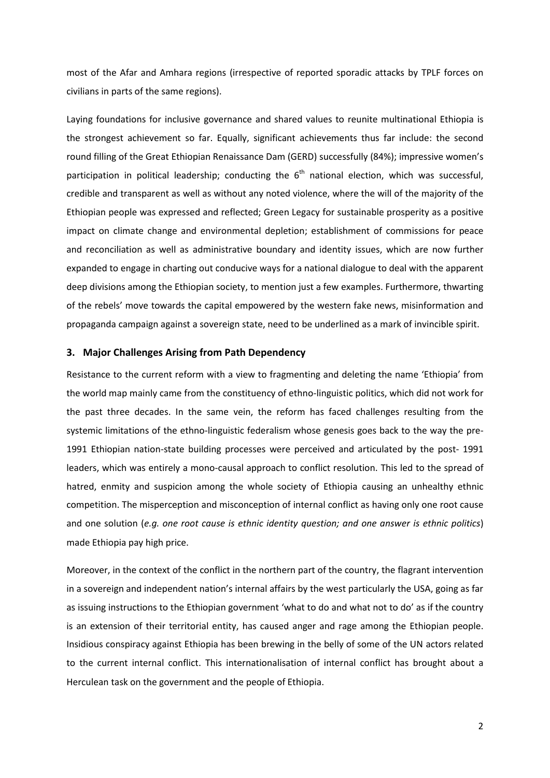most of the Afar and Amhara regions (irrespective of reported sporadic attacks by TPLF forces on civilians in parts of the same regions).

Laying foundations for inclusive governance and shared values to reunite multinational Ethiopia is the strongest achievement so far. Equally, significant achievements thus far include: the second round filling of the Great Ethiopian Renaissance Dam (GERD) successfully (84%); impressive women's participation in political leadership; conducting the  $6<sup>th</sup>$  national election, which was successful, credible and transparent as well as without any noted violence, where the will of the majority of the Ethiopian people was expressed and reflected; Green Legacy for sustainable prosperity as a positive impact on climate change and environmental depletion; establishment of commissions for peace and reconciliation as well as administrative boundary and identity issues, which are now further expanded to engage in charting out conducive ways for a national dialogue to deal with the apparent deep divisions among the Ethiopian society, to mention just a few examples. Furthermore, thwarting of the rebels' move towards the capital empowered by the western fake news, misinformation and propaganda campaign against a sovereign state, need to be underlined as a mark of invincible spirit.

#### **3. Major Challenges Arising from Path Dependency**

Resistance to the current reform with a view to fragmenting and deleting the name 'Ethiopia' from the world map mainly came from the constituency of ethno-linguistic politics, which did not work for the past three decades. In the same vein, the reform has faced challenges resulting from the systemic limitations of the ethno-linguistic federalism whose genesis goes back to the way the pre-1991 Ethiopian nation-state building processes were perceived and articulated by the post- 1991 leaders, which was entirely a mono-causal approach to conflict resolution. This led to the spread of hatred, enmity and suspicion among the whole society of Ethiopia causing an unhealthy ethnic competition. The misperception and misconception of internal conflict as having only one root cause and one solution (*e.g. one root cause is ethnic identity question; and one answer is ethnic politics*) made Ethiopia pay high price.

Moreover, in the context of the conflict in the northern part of the country, the flagrant intervention in a sovereign and independent nation's internal affairs by the west particularly the USA, going as far as issuing instructions to the Ethiopian government 'what to do and what not to do' as if the country is an extension of their territorial entity, has caused anger and rage among the Ethiopian people. Insidious conspiracy against Ethiopia has been brewing in the belly of some of the UN actors related to the current internal conflict. This internationalisation of internal conflict has brought about a Herculean task on the government and the people of Ethiopia.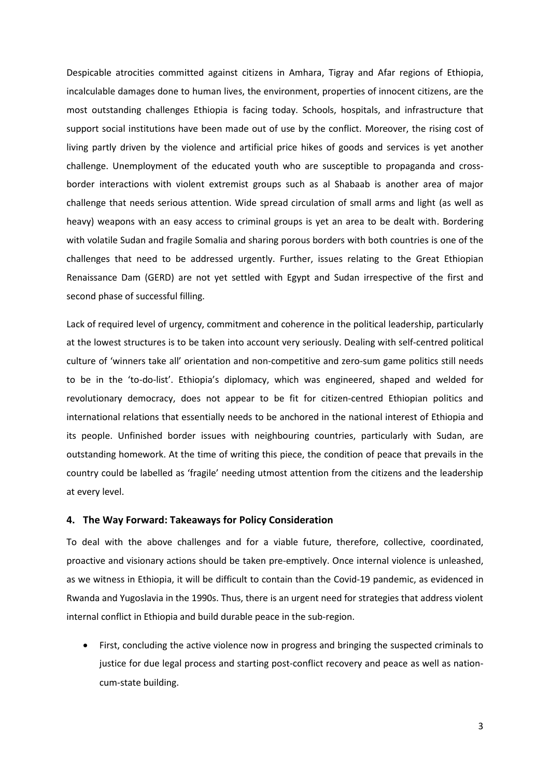Despicable atrocities committed against citizens in Amhara, Tigray and Afar regions of Ethiopia, incalculable damages done to human lives, the environment, properties of innocent citizens, are the most outstanding challenges Ethiopia is facing today. Schools, hospitals, and infrastructure that support social institutions have been made out of use by the conflict. Moreover, the rising cost of living partly driven by the violence and artificial price hikes of goods and services is yet another challenge. Unemployment of the educated youth who are susceptible to propaganda and crossborder interactions with violent extremist groups such as al Shabaab is another area of major challenge that needs serious attention. Wide spread circulation of small arms and light (as well as heavy) weapons with an easy access to criminal groups is yet an area to be dealt with. Bordering with volatile Sudan and fragile Somalia and sharing porous borders with both countries is one of the challenges that need to be addressed urgently. Further, issues relating to the Great Ethiopian Renaissance Dam (GERD) are not yet settled with Egypt and Sudan irrespective of the first and second phase of successful filling.

Lack of required level of urgency, commitment and coherence in the political leadership, particularly at the lowest structures is to be taken into account very seriously. Dealing with self-centred political culture of 'winners take all' orientation and non-competitive and zero-sum game politics still needs to be in the 'to-do-list'. Ethiopia's diplomacy, which was engineered, shaped and welded for revolutionary democracy, does not appear to be fit for citizen-centred Ethiopian politics and international relations that essentially needs to be anchored in the national interest of Ethiopia and its people. Unfinished border issues with neighbouring countries, particularly with Sudan, are outstanding homework. At the time of writing this piece, the condition of peace that prevails in the country could be labelled as 'fragile' needing utmost attention from the citizens and the leadership at every level.

### **4. The Way Forward: Takeaways for Policy Consideration**

To deal with the above challenges and for a viable future, therefore, collective, coordinated, proactive and visionary actions should be taken pre-emptively. Once internal violence is unleashed, as we witness in Ethiopia, it will be difficult to contain than the Covid-19 pandemic, as evidenced in Rwanda and Yugoslavia in the 1990s. Thus, there is an urgent need for strategies that address violent internal conflict in Ethiopia and build durable peace in the sub-region.

 First, concluding the active violence now in progress and bringing the suspected criminals to justice for due legal process and starting post-conflict recovery and peace as well as nationcum-state building.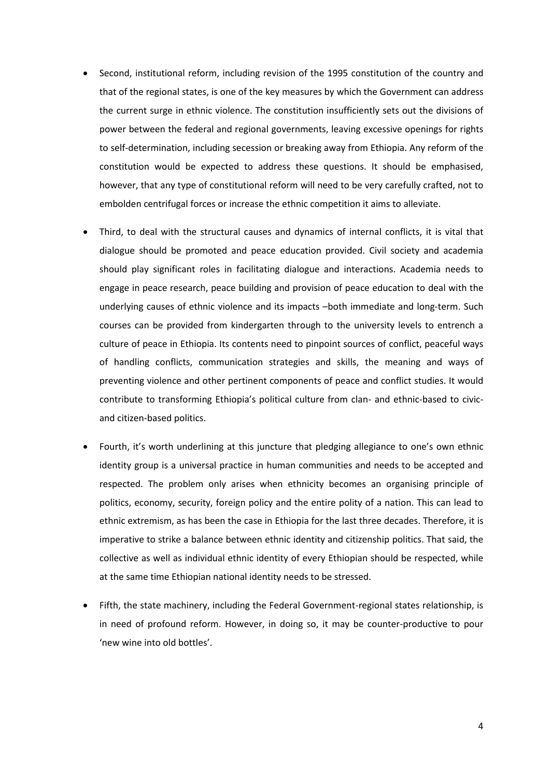- Second, institutional reform, including revision of the 1995 constitution of the country and that of the regional states, is one of the key measures by which the Government can address the current surge in ethnic violence. The constitution insufficiently sets out the divisions of power between the federal and regional governments, leaving excessive openings for rights to self-determination, including secession or breaking away from Ethiopia. Any reform of the constitution would be expected to address these questions. It should be emphasised, however, that any type of constitutional reform will need to be very carefully crafted, not to embolden centrifugal forces or increase the ethnic competition it aims to alleviate.
- Third, to deal with the structural causes and dynamics of internal conflicts, it is vital that dialogue should be promoted and peace education provided. Civil society and academia should play significant roles in facilitating dialogue and interactions. Academia needs to engage in peace research, peace building and provision of peace education to deal with the underlying causes of ethnic violence and its impacts –both immediate and long-term. Such courses can be provided from kindergarten through to the university levels to entrench a culture of peace in Ethiopia. Its contents need to pinpoint sources of conflict, peaceful ways of handling conflicts, communication strategies and skills, the meaning and ways of preventing violence and other pertinent components of peace and conflict studies. It would contribute to transforming Ethiopia's political culture from clan- and ethnic-based to civicand citizen-based politics.
- Fourth, it's worth underlining at this juncture that pledging allegiance to one's own ethnic identity group is a universal practice in human communities and needs to be accepted and respected. The problem only arises when ethnicity becomes an organising principle of politics, economy, security, foreign policy and the entire polity of a nation. This can lead to ethnic extremism, as has been the case in Ethiopia for the last three decades. Therefore, it is imperative to strike a balance between ethnic identity and citizenship politics. That said, the collective as well as individual ethnic identity of every Ethiopian should be respected, while at the same time Ethiopian national identity needs to be stressed.
- Fifth, the state machinery, including the Federal Government-regional states relationship, is in need of profound reform. However, in doing so, it may be counter-productive to pour 'new wine into old bottles'.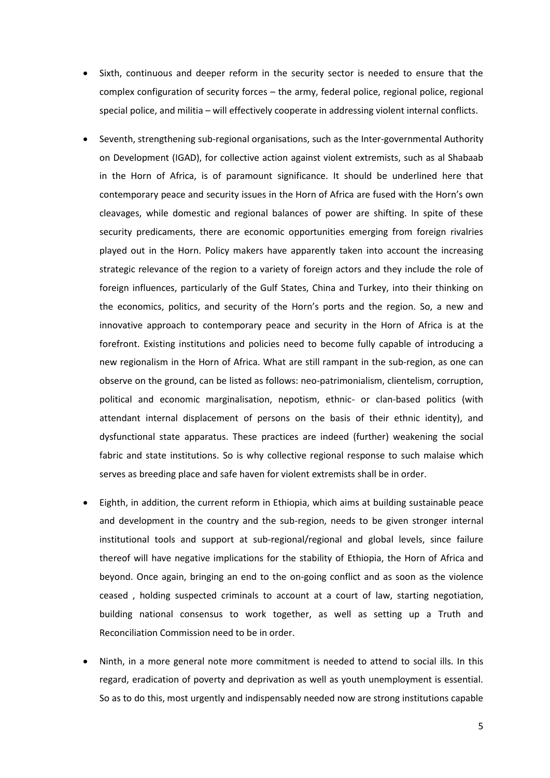- Sixth, continuous and deeper reform in the security sector is needed to ensure that the complex configuration of security forces – the army, federal police, regional police, regional special police, and militia – will effectively cooperate in addressing violent internal conflicts.
- Seventh, strengthening sub-regional organisations, such as the Inter-governmental Authority on Development (IGAD), for collective action against violent extremists, such as al Shabaab in the Horn of Africa, is of paramount significance. It should be underlined here that contemporary peace and security issues in the Horn of Africa are fused with the Horn's own cleavages, while domestic and regional balances of power are shifting. In spite of these security predicaments, there are economic opportunities emerging from foreign rivalries played out in the Horn. Policy makers have apparently taken into account the increasing strategic relevance of the region to a variety of foreign actors and they include the role of foreign influences, particularly of the Gulf States, China and Turkey, into their thinking on the economics, politics, and security of the Horn's ports and the region. So, a new and innovative approach to contemporary peace and security in the Horn of Africa is at the forefront. Existing institutions and policies need to become fully capable of introducing a new regionalism in the Horn of Africa. What are still rampant in the sub-region, as one can observe on the ground, can be listed as follows: neo-patrimonialism, clientelism, corruption, political and economic marginalisation, nepotism, ethnic- or clan-based politics (with attendant internal displacement of persons on the basis of their ethnic identity), and dysfunctional state apparatus. These practices are indeed (further) weakening the social fabric and state institutions. So is why collective regional response to such malaise which serves as breeding place and safe haven for violent extremists shall be in order.
- Eighth, in addition, the current reform in Ethiopia, which aims at building sustainable peace and development in the country and the sub-region, needs to be given stronger internal institutional tools and support at sub-regional/regional and global levels, since failure thereof will have negative implications for the stability of Ethiopia, the Horn of Africa and beyond. Once again, bringing an end to the on-going conflict and as soon as the violence ceased , holding suspected criminals to account at a court of law, starting negotiation, building national consensus to work together, as well as setting up a Truth and Reconciliation Commission need to be in order.
- Ninth, in a more general note more commitment is needed to attend to social ills. In this regard, eradication of poverty and deprivation as well as youth unemployment is essential. So as to do this, most urgently and indispensably needed now are strong institutions capable